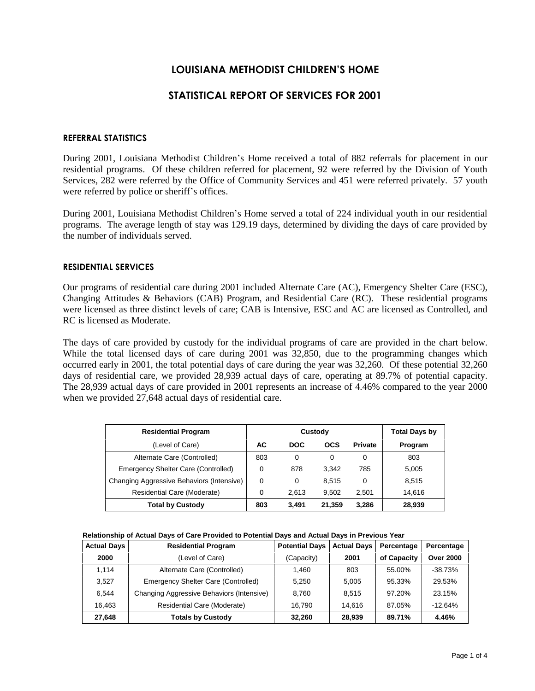# **LOUISIANA METHODIST CHILDRENíS HOME**

# **STATISTICAL REPORT OF SERVICES FOR 2001**

## **REFERRAL STATISTICS**

During 2001, Louisiana Methodist Children's Home received a total of 882 referrals for placement in our residential programs. Of these children referred for placement, 92 were referred by the Division of Youth Services, 282 were referred by the Office of Community Services and 451 were referred privately. 57 youth were referred by police or sheriff's offices.

During 2001, Louisiana Methodist Children's Home served a total of 224 individual youth in our residential programs. The average length of stay was 129.19 days, determined by dividing the days of care provided by the number of individuals served.

### **RESIDENTIAL SERVICES**

Our programs of residential care during 2001 included Alternate Care (AC), Emergency Shelter Care (ESC), Changing Attitudes & Behaviors (CAB) Program, and Residential Care (RC). These residential programs were licensed as three distinct levels of care; CAB is Intensive, ESC and AC are licensed as Controlled, and RC is licensed as Moderate.

The days of care provided by custody for the individual programs of care are provided in the chart below. While the total licensed days of care during 2001 was 32,850, due to the programming changes which occurred early in 2001, the total potential days of care during the year was 32,260. Of these potential 32,260 days of residential care, we provided 28,939 actual days of care, operating at 89.7% of potential capacity. The 28,939 actual days of care provided in 2001 represents an increase of 4.46% compared to the year 2000 when we provided 27,648 actual days of residential care.

| <b>Residential Program</b>                |          | Custody    | <b>Total Days by</b> |                |         |
|-------------------------------------------|----------|------------|----------------------|----------------|---------|
| (Level of Care)                           | AC       | <b>DOC</b> | <b>OCS</b>           | <b>Private</b> | Program |
| Alternate Care (Controlled)               | 803      | 0          | 0                    | 0              | 803     |
| Emergency Shelter Care (Controlled)       | 0        | 878        | 3.342                | 785            | 5,005   |
| Changing Aggressive Behaviors (Intensive) | $\Omega$ | 0          | 8.515                | 0              | 8,515   |
| Residential Care (Moderate)               | 0        | 2.613      | 9.502                | 2.501          | 14.616  |
| <b>Total by Custody</b>                   | 803      | 3,491      | 21,359               | 3,286          | 28,939  |

| Relationship of Actual Days of Care Provided to Potential Days and Actual Days in Previous Year |
|-------------------------------------------------------------------------------------------------|
|-------------------------------------------------------------------------------------------------|

| <b>Actual Days</b> | <b>Residential Program</b>                | <b>Potential Days</b> | <b>Actual Days</b> | Percentage  | Percentage       |
|--------------------|-------------------------------------------|-----------------------|--------------------|-------------|------------------|
| 2000               | (Level of Care)                           | (Capacity)            | 2001               | of Capacity | <b>Over 2000</b> |
| 1.114              | Alternate Care (Controlled)               | 1.460                 | 803                | 55.00%      | $-38.73%$        |
| 3.527              | Emergency Shelter Care (Controlled)       | 5.250                 | 5.005              | 95.33%      | 29.53%           |
| 6.544              | Changing Aggressive Behaviors (Intensive) | 8.760                 | 8.515              | 97.20%      | 23.15%           |
| 16.463             | Residential Care (Moderate)               | 16.790                | 14.616             | 87.05%      | $-12.64%$        |
| 27,648             | <b>Totals by Custody</b>                  | 32.260                | 28,939             | 89.71%      | 4.46%            |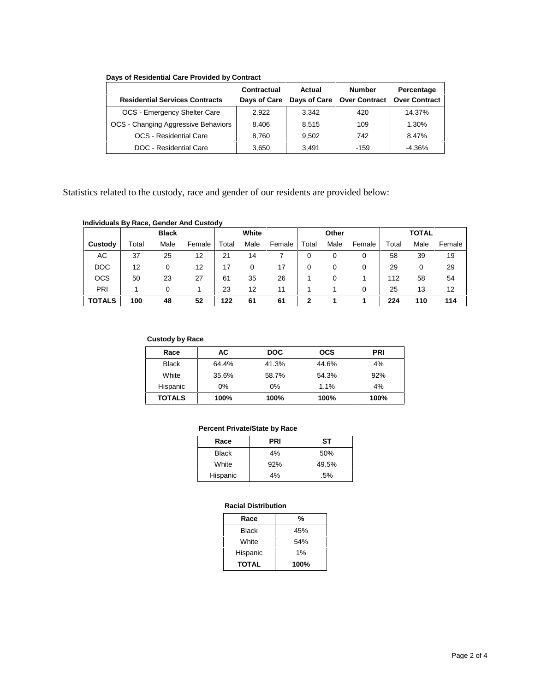## **Days of Residential Care Provided by Contract**

|                                       | Contractual  | Actual | <b>Number</b>              | Percentage           |
|---------------------------------------|--------------|--------|----------------------------|----------------------|
| <b>Residential Services Contracts</b> | Days of Care |        | Days of Care Over Contract | <b>Over Contract</b> |
| OCS - Emergency Shelter Care          | 2.922        | 3.342  | 420                        | 14.37%               |
| OCS - Changing Aggressive Behaviors   | 8.406        | 8.515  | 109                        | 1.30%                |
| <b>OCS</b> - Residential Care         | 8.760        | 9.502  | 742                        | 8.47%                |
| DOC - Residential Care                | 3,650        | 3.491  | $-159$                     | $-4.36\%$            |

Statistics related to the custody, race and gender of our residents are provided below:

## **Individuals By Race, Gender And Custody**

|               |       | <b>Black</b> |        |       | White |        |       | Other |        |       | <b>TOTAL</b> |        |
|---------------|-------|--------------|--------|-------|-------|--------|-------|-------|--------|-------|--------------|--------|
| Custody       | Total | Male         | Female | Total | Male  | Female | Total | Male  | Female | Total | Male         | Female |
| АC            | 37    | 25           | 12     | 21    | 14    |        |       | 0     | 0      | 58    | 39           | 19     |
| <b>DOC</b>    | 12    |              | 12     | 17    |       | 17     |       | 0     | 0      | 29    |              | 29     |
| <b>OCS</b>    | 50    | 23           | 27     | 61    | 35    | 26     |       | 0     |        | 112   | 58           | 54     |
| PRI           |       | 0            |        | 23    | 12    | 11     |       |       | 0      | 25    | 13           | 12     |
| <b>TOTALS</b> | 100   | 48           | 52     | 122   | 61    | 61     |       |       |        | 224   | 110          | 114    |

#### **Custody by Race**

| Race          | AC.   | <b>DOC</b> | <b>OCS</b> | <b>PRI</b> |
|---------------|-------|------------|------------|------------|
| <b>Black</b>  | 64.4% | 41.3%      | 44.6%      | 4%         |
| White         | 35.6% | 58.7%      | 54.3%      | 92%        |
| Hispanic      | $0\%$ | 0%         | 1.1%       | 4%         |
| <b>TOTALS</b> | 100%  | 100%       | 100%       | 100%       |

#### **Percent Private/State by Race**

| Race         | PRI | SТ    |
|--------------|-----|-------|
| <b>Black</b> | 4%  | 50%   |
| White        | 92% | 49.5% |
| Hispanic     | 4%  | .5%   |

## **Racial Distribution**

| Race         | %     |
|--------------|-------|
| Black        | 45%   |
| White        | 54%   |
| Hispanic     | $1\%$ |
| <b>TOTAL</b> | 100%  |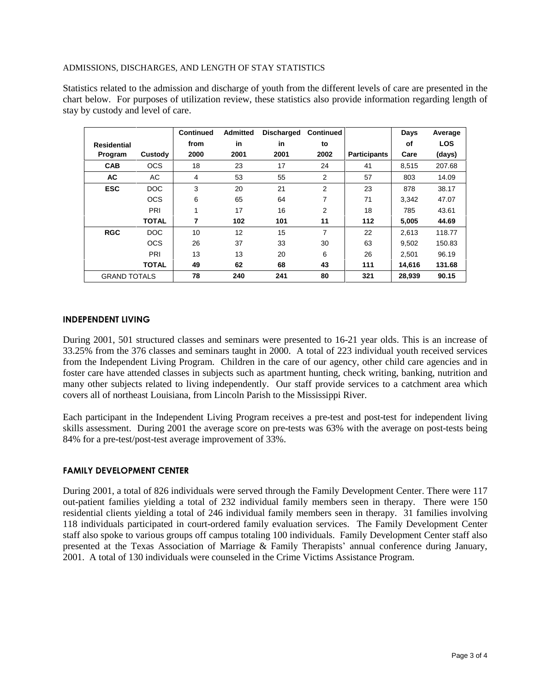## ADMISSIONS, DISCHARGES, AND LENGTH OF STAY STATISTICS

Statistics related to the admission and discharge of youth from the different levels of care are presented in the chart below. For purposes of utilization review, these statistics also provide information regarding length of stay by custody and level of care.

|                     |              | <b>Continued</b> | <b>Admitted</b> | <b>Discharged</b> | <b>Continued</b> |                     | Days   | Average    |
|---------------------|--------------|------------------|-----------------|-------------------|------------------|---------------------|--------|------------|
| <b>Residential</b>  |              | from             | in              | in                | to               |                     | οf     | <b>LOS</b> |
| Program             | Custody      | 2000             | 2001            | 2001              | 2002             | <b>Participants</b> | Care   | (days)     |
| <b>CAB</b>          | <b>OCS</b>   | 18               | 23              | 17                | 24               | 41                  | 8,515  | 207.68     |
| AC                  | AC           | 4                | 53              | 55                | 2                | 57                  | 803    | 14.09      |
| <b>ESC</b>          | DOC          | 3                | 20              | 21                | 2                | 23                  | 878    | 38.17      |
|                     | <b>OCS</b>   | 6                | 65              | 64                | $\overline{7}$   | 71                  | 3.342  | 47.07      |
|                     | PRI          | 1                | 17              | 16                | $\overline{2}$   | 18                  | 785    | 43.61      |
|                     | <b>TOTAL</b> | 7                | 102             | 101               | 11               | 112                 | 5,005  | 44.69      |
| <b>RGC</b>          | DOC          | 10               | 12              | 15                | $\overline{7}$   | 22                  | 2.613  | 118.77     |
|                     | <b>OCS</b>   | 26               | 37              | 33                | 30               | 63                  | 9.502  | 150.83     |
|                     | PRI          | 13               | 13              | 20                | 6                | 26                  | 2,501  | 96.19      |
|                     | <b>TOTAL</b> | 49               | 62              | 68                | 43               | 111                 | 14,616 | 131.68     |
| <b>GRAND TOTALS</b> |              | 78               | 240             | 241               | 80               | 321                 | 28,939 | 90.15      |

## **INDEPENDENT LIVING**

During 2001, 501 structured classes and seminars were presented to 16-21 year olds. This is an increase of 33.25% from the 376 classes and seminars taught in 2000. A total of 223 individual youth received services from the Independent Living Program. Children in the care of our agency, other child care agencies and in foster care have attended classes in subjects such as apartment hunting, check writing, banking, nutrition and many other subjects related to living independently. Our staff provide services to a catchment area which covers all of northeast Louisiana, from Lincoln Parish to the Mississippi River.

Each participant in the Independent Living Program receives a pre-test and post-test for independent living skills assessment. During 2001 the average score on pre-tests was 63% with the average on post-tests being 84% for a pre-test/post-test average improvement of 33%.

# **FAMILY DEVELOPMENT CENTER**

During 2001, a total of 826 individuals were served through the Family Development Center. There were 117 out-patient families yielding a total of 232 individual family members seen in therapy. There were 150 residential clients yielding a total of 246 individual family members seen in therapy. 31 families involving 118 individuals participated in court-ordered family evaluation services. The Family Development Center staff also spoke to various groups off campus totaling 100 individuals. Family Development Center staff also presented at the Texas Association of Marriage  $\&$  Family Therapists' annual conference during January, 2001. A total of 130 individuals were counseled in the Crime Victims Assistance Program.